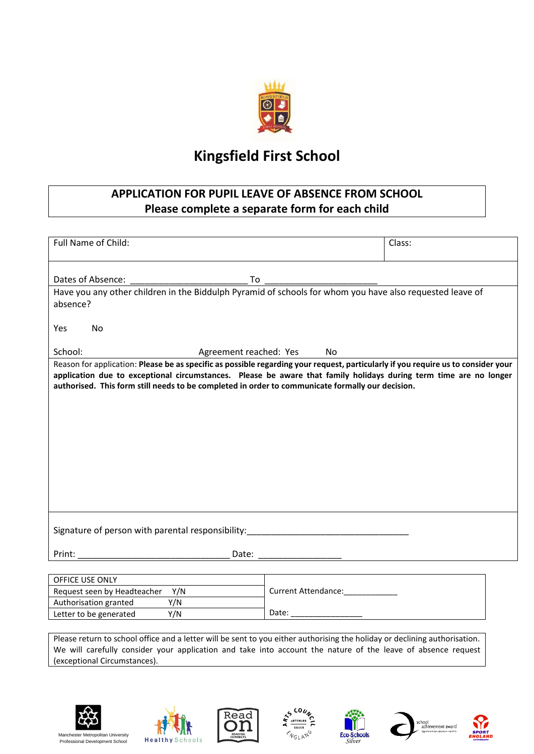

## **Kingsfield First School**

## **APPLICATION FOR PUPIL LEAVE OF ABSENCE FROM SCHOOL Please complete a separate form for each child**

| Full Name of Child:                                                                                                                                                                                                                                                                                                                                        | Class:                     |
|------------------------------------------------------------------------------------------------------------------------------------------------------------------------------------------------------------------------------------------------------------------------------------------------------------------------------------------------------------|----------------------------|
|                                                                                                                                                                                                                                                                                                                                                            |                            |
| Dates of Absence:<br>To                                                                                                                                                                                                                                                                                                                                    |                            |
| Have you any other children in the Biddulph Pyramid of schools for whom you have also requested leave of                                                                                                                                                                                                                                                   |                            |
| absence?                                                                                                                                                                                                                                                                                                                                                   |                            |
| Yes<br>No                                                                                                                                                                                                                                                                                                                                                  |                            |
| School:<br>Agreement reached: Yes                                                                                                                                                                                                                                                                                                                          | No                         |
| Reason for application: Please be as specific as possible regarding your request, particularly if you require us to consider your<br>application due to exceptional circumstances. Please be aware that family holidays during term time are no longer<br>authorised. This form still needs to be completed in order to communicate formally our decision. |                            |
| Signature of person with parental responsibility:                                                                                                                                                                                                                                                                                                          |                            |
| Print:<br>Date:                                                                                                                                                                                                                                                                                                                                            |                            |
|                                                                                                                                                                                                                                                                                                                                                            |                            |
| OFFICE USE ONLY                                                                                                                                                                                                                                                                                                                                            |                            |
| Request seen by Headteacher<br>Y/N                                                                                                                                                                                                                                                                                                                         | <b>Current Attendance:</b> |

Please return to school office and a letter will be sent to you either authorising the holiday or declining authorisation. We will carefully consider your application and take into account the nature of the leave of absence request (exceptional Circumstances).

Read

Date:



Authorisation granted Y/N Letter to be generated Y/N